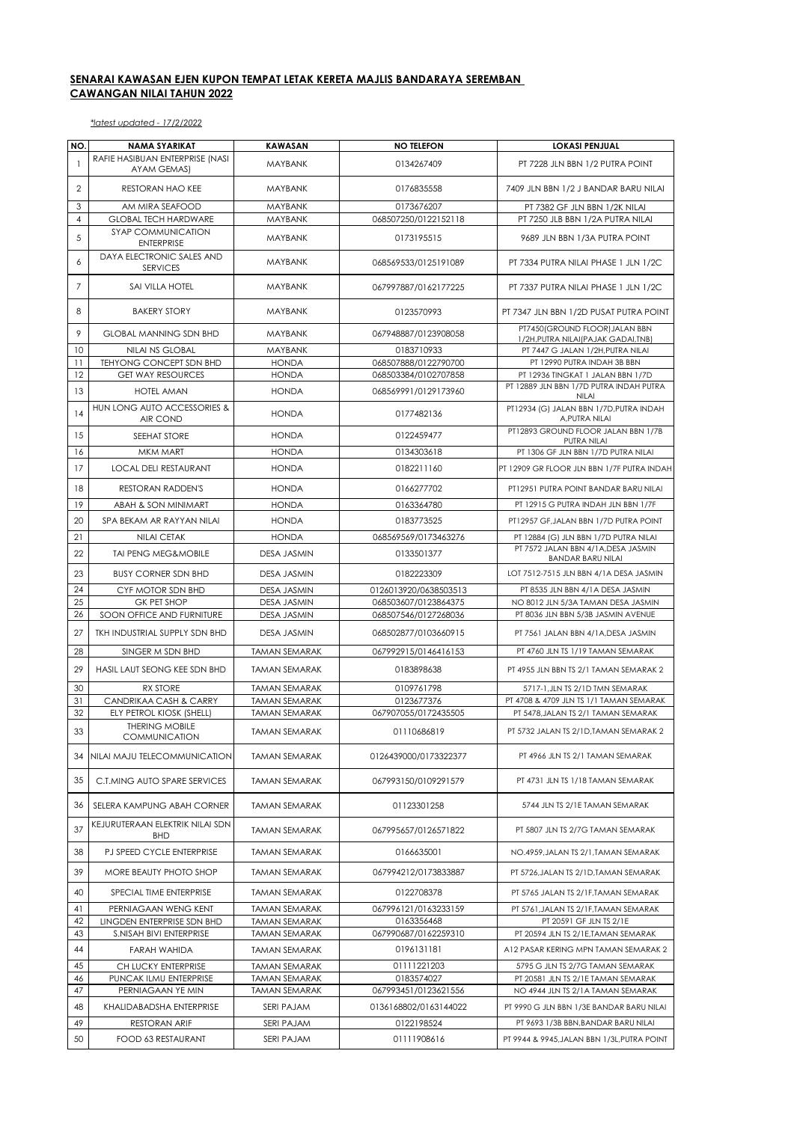## **SENARAI KAWASAN EJEN KUPON TEMPAT LETAK KERETA MAJLIS BANDARAYA SEREMBAN CAWANGAN NILAI TAHUN 2022**

*\*latest updated - 17/2/2022*

| NO.                     | <b>NAMA SYARIKAT</b>                           | <b>KAWASAN</b>                        | <b>NO TELEFON</b>                  | <b>LOKASI PENJUAL</b>                                                   |
|-------------------------|------------------------------------------------|---------------------------------------|------------------------------------|-------------------------------------------------------------------------|
| $\mathbf{1}$            | RAFIE HASIBUAN ENTERPRISE (NASI<br>AYAM GEMAS) | <b>MAYBANK</b>                        | 0134267409                         | PT 7228 JLN BBN 1/2 PUTRA POINT                                         |
| $\overline{\mathbf{c}}$ | RESTORAN HAO KEE                               | <b>MAYBANK</b>                        | 0176835558                         | 7409 JLN BBN 1/2 J BANDAR BARU NILAI                                    |
| 3                       | AM MIRA SEAFOOD                                | MAYBANK                               | 0173676207                         | PT 7382 GF JLN BBN 1/2K NILAI                                           |
| $\overline{4}$          | <b>GLOBAL TECH HARDWARE</b>                    | MAYBANK                               | 068507250/0122152118               | PT 7250 JLB BBN 1/2A PUTRA NILAI                                        |
| 5                       | SYAP COMMUNICATION<br><b>ENTERPRISE</b>        | <b>MAYBANK</b>                        | 0173195515                         | 9689 JLN BBN 1/3A PUTRA POINT                                           |
| 6                       | DAYA ELECTRONIC SALES AND<br><b>SERVICES</b>   | <b>MAYBANK</b>                        | 068569533/0125191089               | PT 7334 PUTRA NILAI PHASE 1 JLN 1/2C                                    |
| $\overline{7}$          | SAI VILLA HOTEL                                | <b>MAYBANK</b>                        | 067997887/0162177225               | PT 7337 PUTRA NILAI PHASE 1 JLN 1/2C                                    |
| 8                       | <b>BAKERY STORY</b>                            | <b>MAYBANK</b>                        | 0123570993                         | PT 7347 JLN BBN 1/2D PUSAT PUTRA POINT                                  |
| 9                       | <b>GLOBAL MANNING SDN BHD</b>                  | <b>MAYBANK</b>                        | 067948887/0123908058               | PT7450(GROUND FLOOR) JALAN BBN<br>1/2H, PUTRA NILAI (PAJAK GADAI, TNB)  |
| 10                      | NILAI NS GLOBAL                                | MAYBANK                               | 0183710933                         | PT 7447 G JALAN 1/2H, PUTRA NILAI                                       |
| 11                      | TEHYONG CONCEPT SDN BHD                        | <b>HONDA</b>                          | 068507888/0122790700               | PT 12990 PUTRA INDAH 3B BBN                                             |
| 12                      | <b>GET WAY RESOURCES</b>                       | <b>HONDA</b>                          | 068503384/0102707858               | PT 12936 TINGKAT 1 JALAN BBN 1/7D                                       |
| 13                      | <b>HOTEL AMAN</b>                              | <b>HONDA</b>                          | 068569991/0129173960               | PT 12889 JLN BBN 1/7D PUTRA INDAH PUTRA<br><b>NILAI</b>                 |
| 14                      | HUN LONG AUTO ACCESSORIES &<br>AIR COND        | <b>HONDA</b>                          | 0177482136                         | PT12934 (G) JALAN BBN 1/7D, PUTRA INDAH<br>A, PUTRA NILAI               |
| 15                      | SEEHAT STORE                                   | <b>HONDA</b>                          | 0122459477                         | PT12893 GROUND FLOOR JALAN BBN 1/7B<br>PUTRA NILAI                      |
| 16                      | MKM MART                                       | <b>HONDA</b>                          | 0134303618                         | PT 1306 GF JLN BBN 1/7D PUTRA NILAI                                     |
| 17                      | <b>LOCAL DELI RESTAURANT</b>                   | <b>HONDA</b>                          | 0182211160                         | PT 12909 GR FLOOR JLN BBN 1/7F PUTRA INDAH                              |
| 18                      | <b>RESTORAN RADDEN'S</b>                       | <b>HONDA</b>                          | 0166277702                         | PT12951 PUTRA POINT BANDAR BARU NILAI                                   |
| 19                      | ABAH & SON MINIMART                            | <b>HONDA</b>                          | 0163364780                         | PT 12915 G PUTRA INDAH JLN BBN 1/7F                                     |
| 20                      | SPA BEKAM AR RAYYAN NILAI                      | <b>HONDA</b>                          | 0183773525                         | PT12957 GF, JALAN BBN 1/7D PUTRA POINT                                  |
| 21                      | <b>NILAI CETAK</b>                             | <b>HONDA</b>                          | 068569569/0173463276               | PT 12884 (G) JLN BBN 1/7D PUTRA NILAI                                   |
| 22                      | <b>TAI PENG MEG&amp;MOBILE</b>                 | <b>DESA JASMIN</b>                    | 0133501377                         | PT 7572 JALAN BBN 4/1A, DESA JASMIN<br><b>BANDAR BARU NILAI</b>         |
| 23                      | <b>BUSY CORNER SDN BHD</b>                     | <b>DESA JASMIN</b>                    | 0182223309                         | LOT 7512-7515 JLN BBN 4/1A DESA JASMIN                                  |
| 24                      | CYF MOTOR SDN BHD                              | <b>DESA JASMIN</b>                    | 0126013920/0638503513              | PT 8535 JLN BBN 4/1A DESA JASMIN                                        |
| 25                      | <b>GK PET SHOP</b>                             | <b>DESA JASMIN</b>                    | 068503607/0123864375               | NO 8012 JLN 5/3A TAMAN DESA JASMIN                                      |
| 26                      | SOON OFFICE AND FURNITURE                      | <b>DESA JASMIN</b>                    | 068507546/0127268036               | PT 8036 JLN BBN 5/3B JASMIN AVENUE                                      |
| 27                      | TKH INDUSTRIAL SUPPLY SDN BHD                  | <b>DESA JASMIN</b>                    | 068502877/0103660915               | PT 7561 JALAN BBN 4/1A, DESA JASMIN                                     |
| 28                      | SINGER M SDN BHD                               | <b>TAMAN SEMARAK</b>                  | 067992915/0146416153               | PT 4760 JLN TS 1/19 TAMAN SEMARAK                                       |
| 29                      | HASIL LAUT SEONG KEE SDN BHD                   | <b>TAMAN SEMARAK</b>                  | 0183898638                         | PT 4955 JLN BBN TS 2/1 TAMAN SEMARAK 2                                  |
| 30                      | <b>RX STORE</b>                                | <b>TAMAN SEMARAK</b>                  | 0109761798                         | 5717-1, JLN TS 2/1D TMN SEMARAK                                         |
| 31                      | CANDRIKAA CASH & CARRY                         | <b>TAMAN SEMARAK</b>                  | 0123677376                         | PT 4708 & 4709 JLN TS 1/1 TAMAN SEMARAK                                 |
| 32                      | ELY PETROL KIOSK (SHELL)                       | <b>TAMAN SEMARAK</b>                  | 067907055/0172435505               | PT 5478.JALAN TS 2/1 TAMAN SEMARAK                                      |
| 33                      | <b>THERING MOBILE</b><br>COMMUNICATION         | <b>TAMAN SEMARAK</b>                  | 01110686819                        | PT 5732 JALAN TS 2/1D.TAMAN SEMARAK 2                                   |
| 34                      | NILAI MAJU TELECOMMUNICATION                   | <b>TAMAN SEMARAK</b>                  | 0126439000/0173322377              | PT 4966 JLN TS 2/1 TAMAN SEMARAK                                        |
| 35                      | C.T.MING AUTO SPARE SERVICES                   | <b>TAMAN SEMARAK</b>                  | 067993150/0109291579               | PT 4731 JLN TS 1/18 TAMAN SEMARAK                                       |
| 36                      | SELERA KAMPUNG ABAH CORNER                     | <b>TAMAN SEMARAK</b>                  | 01123301258                        | 5744 JLN TS 2/1E TAMAN SEMARAK                                          |
| 37                      | KEJURUTERAAN ELEKTRIK NILAI SDN<br><b>BHD</b>  | <b>TAMAN SEMARAK</b>                  | 067995657/0126571822               | PT 5807 JLN TS 2/7G TAMAN SEMARAK                                       |
| 38                      | PJ SPEED CYCLE ENTERPRISE                      | <b>TAMAN SEMARAK</b>                  | 0166635001                         | NO.4959, JALAN TS 2/1, TAMAN SEMARAK                                    |
| 39                      | MORE BEAUTY PHOTO SHOP                         | <b>TAMAN SEMARAK</b>                  | 067994212/0173833887               | PT 5726.JALAN TS 2/1D.TAMAN SEMARAK                                     |
| 40                      | SPECIAL TIME ENTERPRISE                        | TAMAN SEMARAK                         | 0122708378                         | PT 5765 JALAN TS 2/1F.TAMAN SEMARAK                                     |
| 41                      | PERNIAGAAN WENG KENT                           | <b>TAMAN SEMARAK</b>                  | 067996121/0163233159               | PT 5761, JALAN TS 2/1F, TAMAN SEMARAK                                   |
| 42                      | LINGDEN ENTERPRISE SDN BHD                     | <b>TAMAN SEMARAK</b>                  | 0163356468                         | PT 20591 GF JLN TS 2/1E                                                 |
| 43                      | S.NISAH BIVI ENTERPRISE                        | TAMAN SEMARAK                         | 067990687/0162259310               | PT 20594 JLN TS 2/1E,TAMAN SEMARAK                                      |
| 44                      | <b>FARAH WAHIDA</b>                            | <b>TAMAN SEMARAK</b>                  | 0196131181                         | A12 PASAR KERING MPN TAMAN SEMARAK 2                                    |
| 45                      | CH LUCKY ENTERPRISE                            | <b>TAMAN SEMARAK</b>                  | 01111221203                        | 5795 G JLN TS 2/7G TAMAN SEMARAK                                        |
| 46<br>47                | PUNCAK ILMU ENTERPRISE<br>PERNIAGAAN YE MIN    | <b>TAMAN SEMARAK</b><br>TAMAN SEMARAK | 0183574027<br>067993451/0123621556 | PT 20581 JLN TS 2/1E TAMAN SEMARAK<br>NO 4944 JLN TS 2/1A TAMAN SEMARAK |
| 48                      | KHALIDABADSHA ENTERPRISE                       | SERI PAJAM                            | 0136168802/0163144022              | PT 9990 G JLN BBN 1/3E BANDAR BARU NILAI                                |
| 49                      | RESTORAN ARIF                                  | SERI PAJAM                            | 0122198524                         | PT 9693 1/3B BBN, BANDAR BARU NILAI                                     |
| 50                      | <b>FOOD 63 RESTAURANT</b>                      | SERI PAJAM                            | 01111908616                        | PT 9944 & 9945, JALAN BBN 1/3L, PUTRA POINT                             |